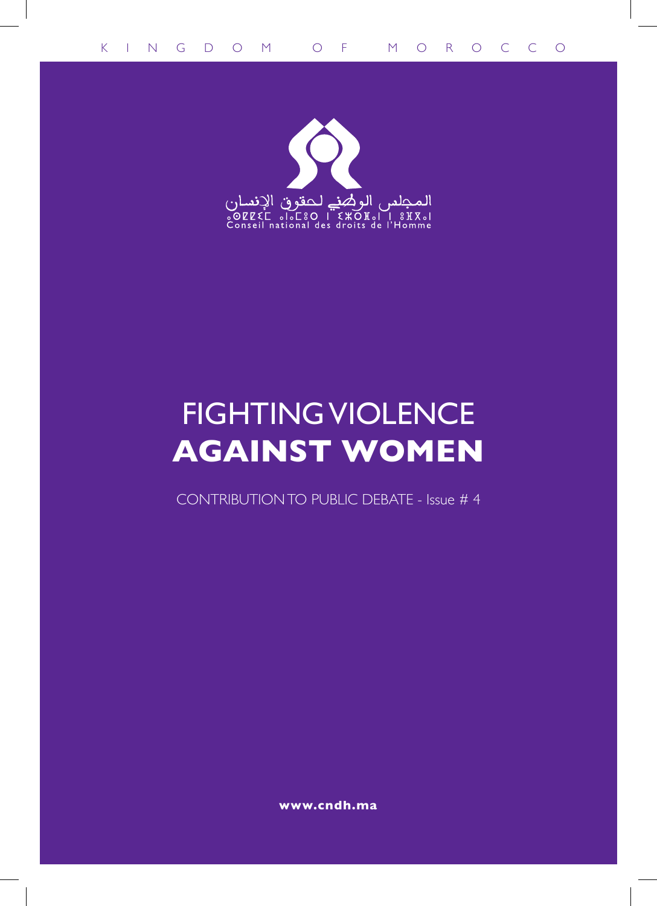

# FIGHTING VIOLENCE **AGAINST WOMEN**

CONTRIBUTION TO PUBLIC DEBATE - Issue # 4

**www.cndh.ma**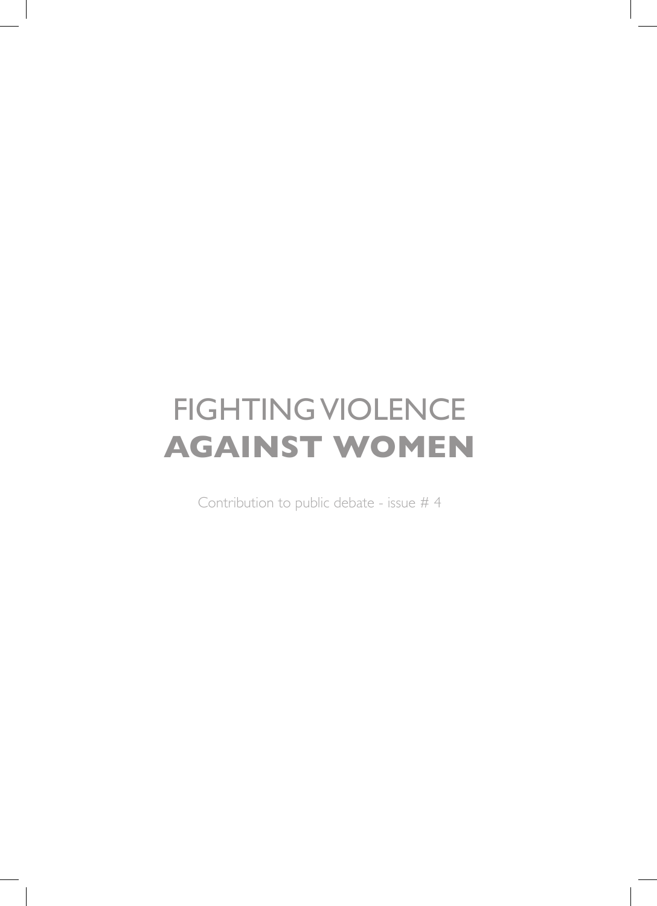# FIGHTING VIOLENCE **AGAINST WOMEN**

Contribution to public debate - issue # 4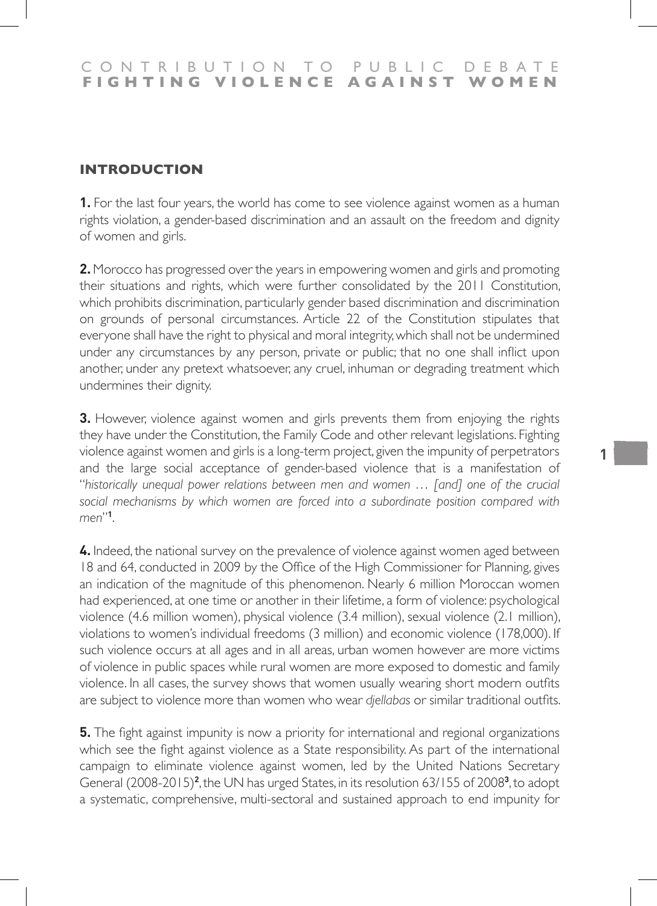# **INTRODUCTION**

**1.** For the last four years, the world has come to see violence against women as a human rights violation, a gender-based discrimination and an assault on the freedom and dignity of women and girls.

**2.** Morocco has progressed over the years in empowering women and girls and promoting their situations and rights, which were further consolidated by the 2011 Constitution, which prohibits discrimination, particularly gender based discrimination and discrimination on grounds of personal circumstances. Article 22 of the Constitution stipulates that everyone shall have the right to physical and moral integrity, which shall not be undermined under any circumstances by any person, private or public; that no one shall inflict upon another, under any pretext whatsoever, any cruel, inhuman or degrading treatment which undermines their dignity.

**3.** However, violence against women and girls prevents them from enjoying the rights they have under the Constitution, the Family Code and other relevant legislations. Fighting violence against women and girls is a long-term project, given the impunity of perpetrators and the large social acceptance of gender-based violence that is a manifestation of "*historically unequal power relations between men and women … [and] one of the crucial social mechanisms by which women are forced into a subordinate position compared with men*"**<sup>1</sup>** .

**4.** Indeed, the national survey on the prevalence of violence against women aged between 18 and 64, conducted in 2009 by the Office of the High Commissioner for Planning, gives an indication of the magnitude of this phenomenon. Nearly 6 million Moroccan women had experienced, at one time or another in their lifetime, a form of violence: psychological violence (4.6 million women), physical violence (3.4 million), sexual violence (2.1 million), violations to women's individual freedoms (3 million) and economic violence (178,000). If such violence occurs at all ages and in all areas, urban women however are more victims of violence in public spaces while rural women are more exposed to domestic and family violence. In all cases, the survey shows that women usually wearing short modern outfits are subject to violence more than women who wear *djellabas* or similar traditional outfits.

**5.** The fight against impunity is now a priority for international and regional organizations which see the fight against violence as a State responsibility. As part of the international campaign to eliminate violence against women, led by the United Nations Secretary General (2008-2015)<sup>2</sup>, the UN has urged States, in its resolution 63/155 of 2008<sup>3</sup>, to adopt a systematic, comprehensive, multi-sectoral and sustained approach to end impunity for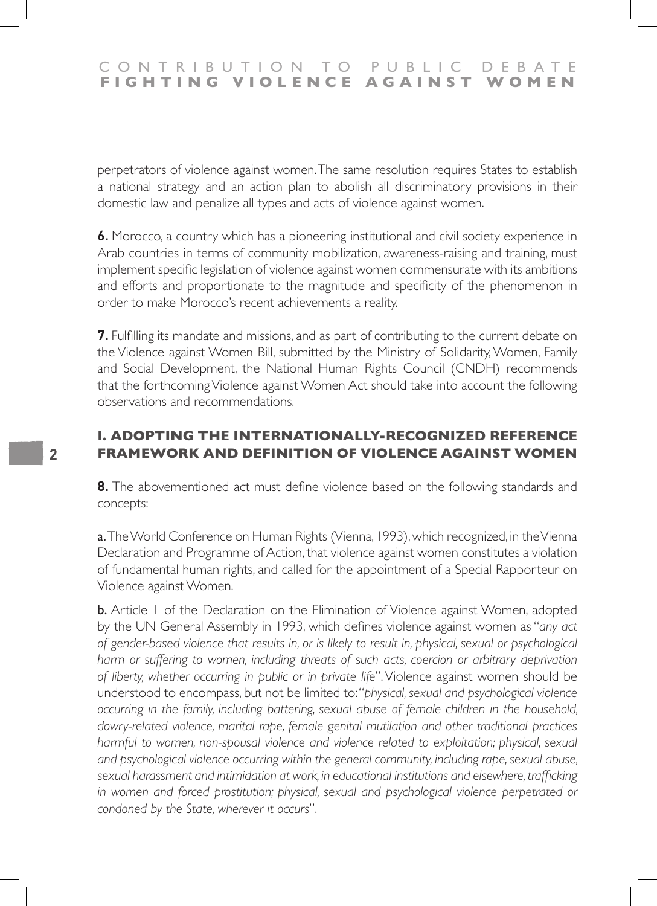perpetrators of violence against women. The same resolution requires States to establish a national strategy and an action plan to abolish all discriminatory provisions in their domestic law and penalize all types and acts of violence against women.

**6.** Morocco, a country which has a pioneering institutional and civil society experience in Arab countries in terms of community mobilization, awareness-raising and training, must implement specific legislation of violence against women commensurate with its ambitions and efforts and proportionate to the magnitude and specificity of the phenomenon in order to make Morocco's recent achievements a reality.

**7.** Fulfilling its mandate and missions, and as part of contributing to the current debate on the Violence against Women Bill, submitted by the Ministry of Solidarity, Women, Family and Social Development, the National Human Rights Council (CNDH) recommends that the forthcoming Violence against Women Act should take into account the following observations and recommendations.

## **I. Adopting the internationally-recognized reference framework and definition of violence against women**

**8.** The abovementioned act must define violence based on the following standards and concepts:

a. The World Conference on Human Rights (Vienna, 1993), which recognized, in the Vienna Declaration and Programme of Action, that violence against women constitutes a violation of fundamental human rights, and called for the appointment of a Special Rapporteur on Violence against Women.

**b.** Article 1 of the Declaration on the Elimination of Violence against Women, adopted by the UN General Assembly in 1993, which defines violence against women as "*any act of gender-based violence that results in, or is likely to result in, physical, sexual or psychological*  harm or suffering to women, including threats of such acts, coercion or arbitrary deprivation *of liberty, whether occurring in public or in private life*". Violence against women should be understood to encompass, but not be limited to: "*physical, sexual and psychological violence occurring in the family, including battering, sexual abuse of female children in the household, dowry-related violence, marital rape, female genital mutilation and other traditional practices harmful to women, non-spousal violence and violence related to exploitation; physical, sexual and psychological violence occurring within the general community, including rape, sexual abuse, sexual harassment and intimidation at work, in educational institutions and elsewhere, trafficking in women and forced prostitution; physical, sexual and psychological violence perpetrated or condoned by the State, wherever it occurs*".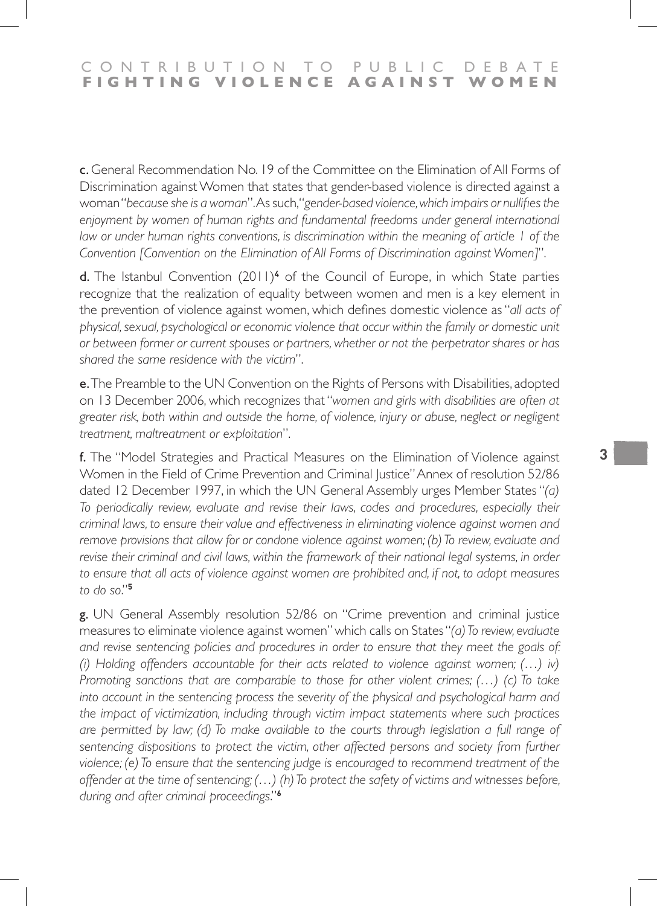c. General Recommendation No. 19 of the Committee on the Elimination of All Forms of Discrimination against Women that states that gender-based violence is directed against a woman "*because she is a woman*". As such, "*gender-based violence, which impairs or nullifies the*  enjoyment by women of human rights and fundamental freedoms under general international *law or under human rights conventions, is discrimination within the meaning of article 1 of the Convention [Convention on the Elimination of All Forms of Discrimination against Women]*".

d. The Istanbul Convention (2011)<sup>4</sup> of the Council of Europe, in which State parties recognize that the realization of equality between women and men is a key element in the prevention of violence against women, which defines domestic violence as "*all acts of physical, sexual, psychological or economic violence that occur within the family or domestic unit or between former or current spouses or partners, whether or not the perpetrator shares or has shared the same residence with the victim*".

e. The Preamble to the UN Convention on the Rights of Persons with Disabilities, adopted on 13 December 2006, which recognizes that "*women and girls with disabilities are often at greater risk, both within and outside the home, of violence, injury or abuse, neglect or negligent treatment, maltreatment or exploitation*".

f. The "Model Strategies and Practical Measures on the Elimination of Violence against Women in the Field of Crime Prevention and Criminal Justice" Annex of resolution 52/86 dated 12 December 1997, in which the UN General Assembly urges Member States "*(a) To periodically review, evaluate and revise their laws, codes and procedures, especially their criminal laws, to ensure their value and effectiveness in eliminating violence against women and remove provisions that allow for or condone violence against women; (b) To review, evaluate and revise their criminal and civil laws, within the framework of their national legal systems, in order* to ensure that all acts of violence against women are prohibited and, if not, to adopt measures *to do so*."**<sup>5</sup>**

g. UN General Assembly resolution 52/86 on "Crime prevention and criminal justice measures to eliminate violence against women" which calls on States "*(a) To review, evaluate and revise sentencing policies and procedures in order to ensure that they meet the goals of: (i) Holding offenders accountable for their acts related to violence against women; (…) iv) Promoting sanctions that are comparable to those for other violent crimes; (…) (c) To take into account in the sentencing process the severity of the physical and psychological harm and the impact of victimization, including through victim impact statements where such practices are permitted by law; (d) To make available to the courts through legislation a full range of sentencing dispositions to protect the victim, other affected persons and society from further violence; (e) To ensure that the sentencing judge is encouraged to recommend treatment of the offender at the time of sentencing; (…) (h) To protect the safety of victims and witnesses before, during and after criminal proceedings*."**6**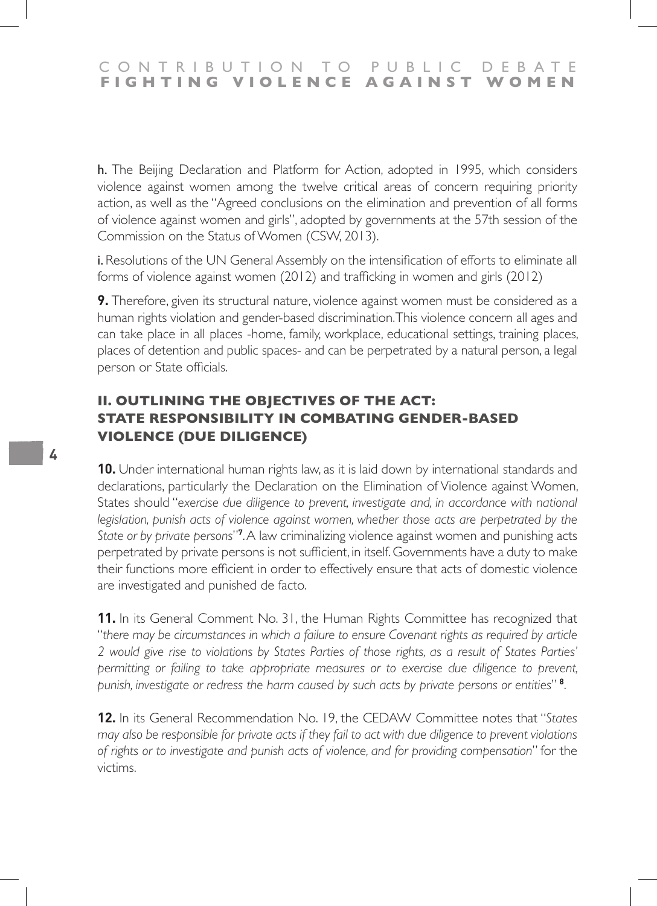### CONTRIBUTION TO PUBLIC DEBATE<br>FIGHTING VIOLENCE AGAINST WOMEN **FIGHTING VIOLENCE**

h. The Beijing Declaration and Platform for Action, adopted in 1995, which considers violence against women among the twelve critical areas of concern requiring priority action, as well as the "Agreed conclusions on the elimination and prevention of all forms of violence against women and girls", adopted by governments at the 57th session of the Commission on the Status of Women (CSW, 2013).

i. Resolutions of the UN General Assembly on the intensification of efforts to eliminate all forms of violence against women (2012) and trafficking in women and girls (2012)

**9.** Therefore, given its structural nature, violence against women must be considered as a human rights violation and gender-based discrimination. This violence concern all ages and can take place in all places -home, family, workplace, educational settings, training places, places of detention and public spaces- and can be perpetrated by a natural person, a legal person or State officials.

# **II. OUTLINING THE OBJECTIVES OF THE ACT: STATE RESPONSIBILITY IN COMBATING GENDER-BASED VIOLENCE (DUE DILIGENCE)**

**10.** Under international human rights law, as it is laid down by international standards and declarations, particularly the Declaration on the Elimination of Violence against Women, States should "*exercise due diligence to prevent, investigate and, in accordance with national legislation, punish acts of violence against women, whether those acts are perpetrated by the State or by private persons*"**<sup>7</sup>** . A law criminalizing violence against women and punishing acts perpetrated by private persons is not sufficient, in itself. Governments have a duty to make their functions more efficient in order to effectively ensure that acts of domestic violence are investigated and punished de facto.

**11.** In its General Comment No. 31, the Human Rights Committee has recognized that "*there may be circumstances in which a failure to ensure Covenant rights as required by article 2 would give rise to violations by States Parties of those rights, as a result of States Parties'*  permitting or failing to take appropriate measures or to exercise due diligence to prevent, *punish, investigate or redress the harm caused by such acts by private persons or entities*" **<sup>8</sup>** .

**12.** In its General Recommendation No. 19, the CEDAW Committee notes that "*States may also be responsible for private acts if they fail to act with due diligence to prevent violations of rights or to investigate and punish acts of violence, and for providing compensation*" for the victims.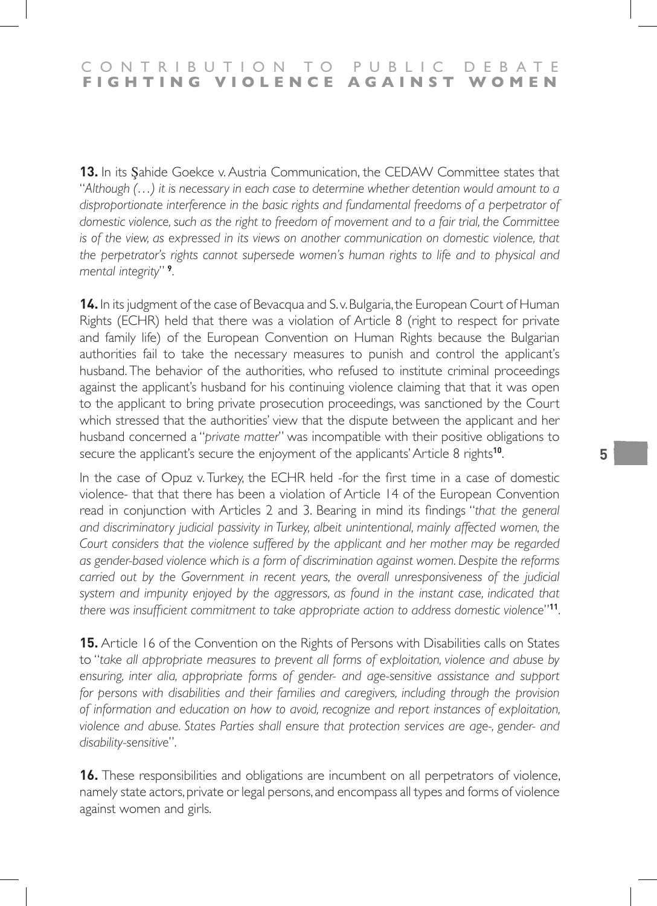**13.** In its Şahide Goekce v. Austria Communication, the CEDAW Committee states that "*Although (…) it is necessary in each case to determine whether detention would amount to a disproportionate interference in the basic rights and fundamental freedoms of a perpetrator of domestic violence, such as the right to freedom of movement and to a fair trial, the Committee is of the view, as expressed in its views on another communication on domestic violence, that the perpetrator's rights cannot supersede women's human rights to life and to physical and mental integrity*" **<sup>9</sup>** .

**14.** In its judgment of the case of Bevacqua and S. v. Bulgaria, the European Court of Human Rights (ECHR) held that there was a violation of Article 8 (right to respect for private and family life) of the European Convention on Human Rights because the Bulgarian authorities fail to take the necessary measures to punish and control the applicant's husband. The behavior of the authorities, who refused to institute criminal proceedings against the applicant's husband for his continuing violence claiming that that it was open to the applicant to bring private prosecution proceedings, was sanctioned by the Court which stressed that the authorities' view that the dispute between the applicant and her husband concerned a "*private matter*" was incompatible with their positive obligations to secure the applicant's secure the enjoyment of the applicants' Article 8 rights**<sup>10</sup>**.

In the case of Opuz v. Turkey, the ECHR held -for the first time in a case of domestic violence- that that there has been a violation of Article 14 of the European Convention read in conjunction with Articles 2 and 3. Bearing in mind its findings "*that the general and discriminatory judicial passivity in Turkey, albeit unintentional, mainly affected women, the Court considers that the violence suffered by the applicant and her mother may be regarded as gender-based violence which is a form of discrimination against women. Despite the reforms carried out by the Government in recent years, the overall unresponsiveness of the judicial* system and impunity enjoyed by the aggressors, as found in the instant case, indicated that *there was insufficient commitment to take appropriate action to address domestic violence*"**<sup>11</sup>**.

**15.** Article 16 of the Convention on the Rights of Persons with Disabilities calls on States to "*take all appropriate measures to prevent all forms of exploitation, violence and abuse by*  ensuring, inter alia, appropriate forms of gender- and age-sensitive assistance and support for persons with disabilities and their families and caregivers, including through the provision *of information and education on how to avoid, recognize and report instances of exploitation, violence and abuse. States Parties shall ensure that protection services are age-, gender- and disability-sensitive*".

**16.** These responsibilities and obligations are incumbent on all perpetrators of violence, namely state actors, private or legal persons, and encompass all types and forms of violence against women and girls.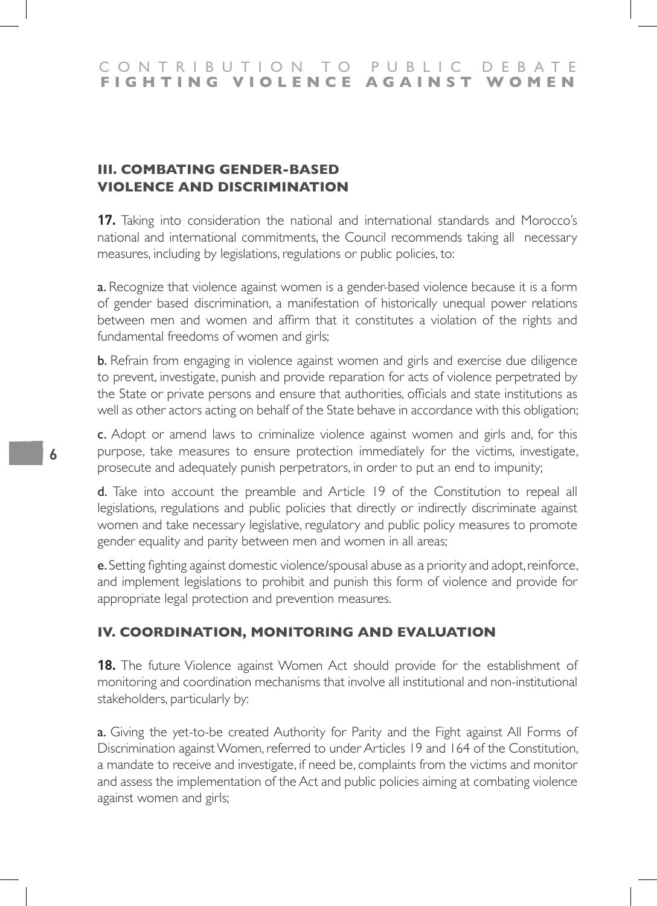# **III. COMBATING GENDER-BASED VIOLENCE AND DISCRIMINATION**

**17.** Taking into consideration the national and international standards and Morocco's national and international commitments, the Council recommends taking all necessary measures, including by legislations, regulations or public policies, to:

a. Recognize that violence against women is a gender-based violence because it is a form of gender based discrimination, a manifestation of historically unequal power relations between men and women and affirm that it constitutes a violation of the rights and fundamental freedoms of women and girls;

**b.** Refrain from engaging in violence against women and girls and exercise due diligence to prevent, investigate, punish and provide reparation for acts of violence perpetrated by the State or private persons and ensure that authorities, officials and state institutions as well as other actors acting on behalf of the State behave in accordance with this obligation;

c. Adopt or amend laws to criminalize violence against women and girls and, for this purpose, take measures to ensure protection immediately for the victims, investigate, prosecute and adequately punish perpetrators, in order to put an end to impunity;

d. Take into account the preamble and Article 19 of the Constitution to repeal all legislations, regulations and public policies that directly or indirectly discriminate against women and take necessary legislative, regulatory and public policy measures to promote gender equality and parity between men and women in all areas;

e. Setting fighting against domestic violence/spousal abuse as a priority and adopt, reinforce, and implement legislations to prohibit and punish this form of violence and provide for appropriate legal protection and prevention measures.

# **IV. COORDINATION, MONITORING AND EVALUATION**

**18.** The future Violence against Women Act should provide for the establishment of monitoring and coordination mechanisms that involve all institutional and non-institutional stakeholders, particularly by:

a. Giving the yet-to-be created Authority for Parity and the Fight against All Forms of Discrimination against Women, referred to under Articles 19 and 164 of the Constitution, a mandate to receive and investigate, if need be, complaints from the victims and monitor and assess the implementation of the Act and public policies aiming at combating violence against women and girls;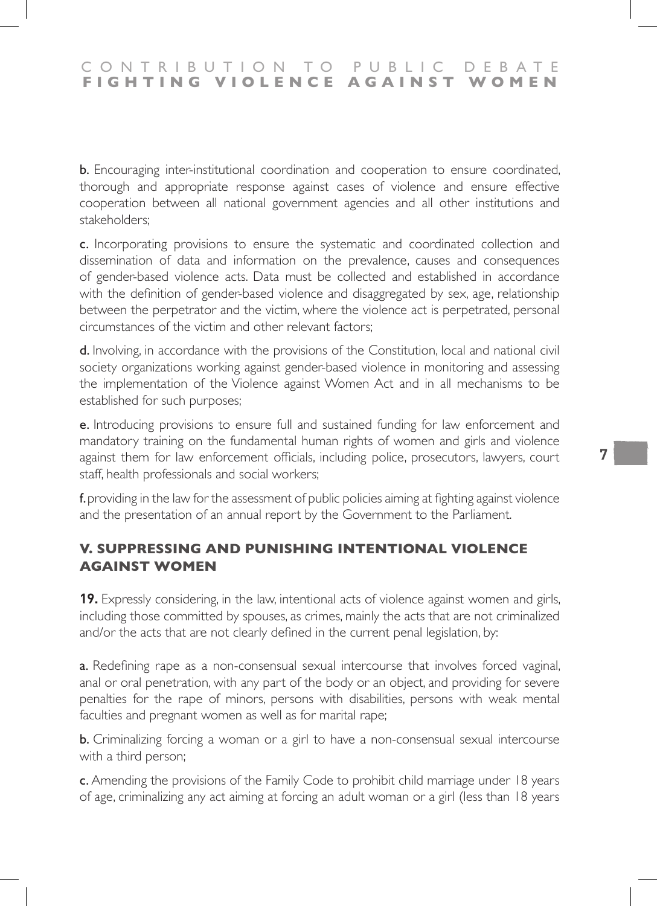b. Encouraging inter-institutional coordination and cooperation to ensure coordinated, thorough and appropriate response against cases of violence and ensure effective cooperation between all national government agencies and all other institutions and stakeholders;

c. Incorporating provisions to ensure the systematic and coordinated collection and dissemination of data and information on the prevalence, causes and consequences of gender-based violence acts. Data must be collected and established in accordance with the definition of gender-based violence and disaggregated by sex, age, relationship between the perpetrator and the victim, where the violence act is perpetrated, personal circumstances of the victim and other relevant factors;

d. Involving, in accordance with the provisions of the Constitution, local and national civil society organizations working against gender-based violence in monitoring and assessing the implementation of the Violence against Women Act and in all mechanisms to be established for such purposes;

e. Introducing provisions to ensure full and sustained funding for law enforcement and mandatory training on the fundamental human rights of women and girls and violence against them for law enforcement officials, including police, prosecutors, lawyers, court staff, health professionals and social workers;

f. providing in the law for the assessment of public policies aiming at fighting against violence and the presentation of an annual report by the Government to the Parliament.

# **V. SUPPRESSING AND PUNISHING INTENTIONAL VIOLENCE AGAINST WOMEN**

**19.** Expressly considering, in the law, intentional acts of violence against women and girls, including those committed by spouses, as crimes, mainly the acts that are not criminalized and/or the acts that are not clearly defined in the current penal legislation, by:

a. Redefining rape as a non-consensual sexual intercourse that involves forced vaginal, anal or oral penetration, with any part of the body or an object, and providing for severe penalties for the rape of minors, persons with disabilities, persons with weak mental faculties and pregnant women as well as for marital rape;

**b.** Criminalizing forcing a woman or a girl to have a non-consensual sexual intercourse with a third person;

c. Amending the provisions of the Family Code to prohibit child marriage under 18 years of age, criminalizing any act aiming at forcing an adult woman or a girl (less than 18 years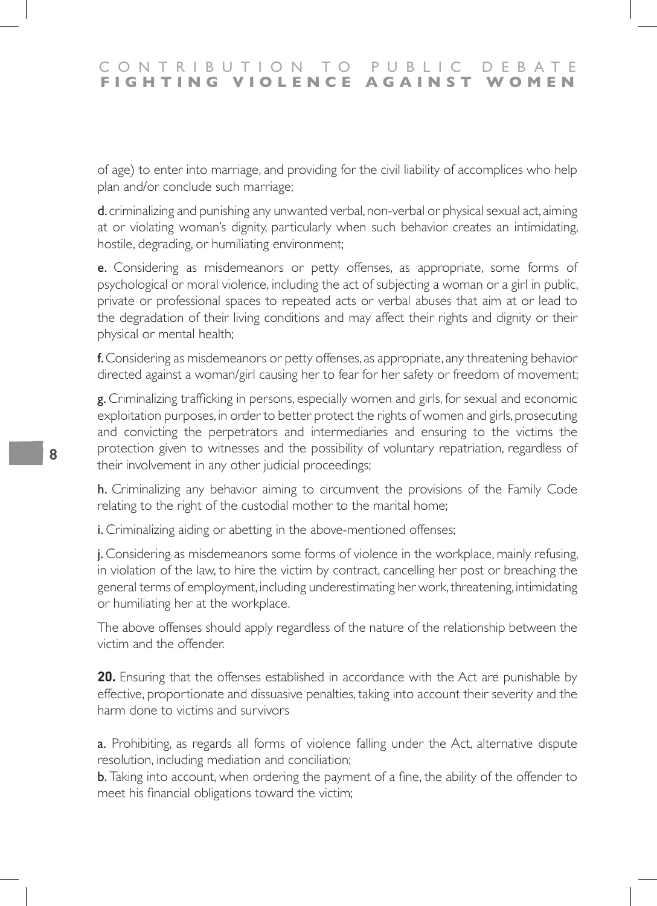of age) to enter into marriage, and providing for the civil liability of accomplices who help plan and/or conclude such marriage;

d. criminalizing and punishing any unwanted verbal, non-verbal or physical sexual act, aiming at or violating woman's dignity, particularly when such behavior creates an intimidating, hostile, degrading, or humiliating environment;

e. Considering as misdemeanors or petty offenses, as appropriate, some forms of psychological or moral violence, including the act of subjecting a woman or a girl in public, private or professional spaces to repeated acts or verbal abuses that aim at or lead to the degradation of their living conditions and may affect their rights and dignity or their physical or mental health;

f. Considering as misdemeanors or petty offenses, as appropriate, any threatening behavior directed against a woman/girl causing her to fear for her safety or freedom of movement;

g. Criminalizing trafficking in persons, especially women and girls, for sexual and economic exploitation purposes, in order to better protect the rights of women and girls, prosecuting and convicting the perpetrators and intermediaries and ensuring to the victims the protection given to witnesses and the possibility of voluntary repatriation, regardless of their involvement in any other judicial proceedings;

h. Criminalizing any behavior aiming to circumvent the provisions of the Family Code relating to the right of the custodial mother to the marital home;

i. Criminalizing aiding or abetting in the above-mentioned offenses;

j. Considering as misdemeanors some forms of violence in the workplace, mainly refusing, in violation of the law, to hire the victim by contract, cancelling her post or breaching the general terms of employment, including underestimating her work, threatening, intimidating or humiliating her at the workplace.

The above offenses should apply regardless of the nature of the relationship between the victim and the offender.

**20.** Ensuring that the offenses established in accordance with the Act are punishable by effective, proportionate and dissuasive penalties, taking into account their severity and the harm done to victims and survivors

a. Prohibiting, as regards all forms of violence falling under the Act, alternative dispute resolution, including mediation and conciliation;

**b.** Taking into account, when ordering the payment of a fine, the ability of the offender to meet his financial obligations toward the victim;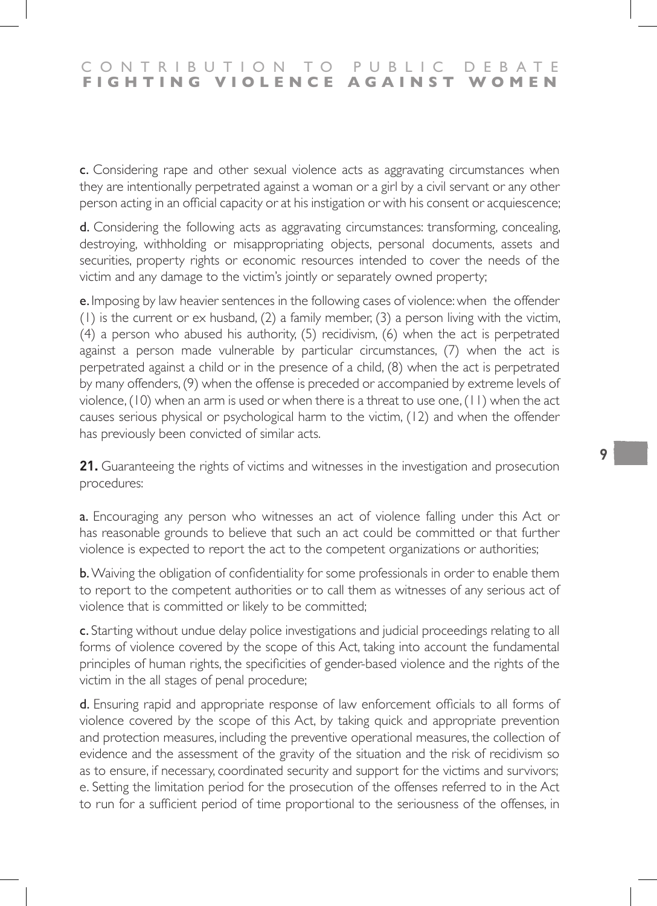c. Considering rape and other sexual violence acts as aggravating circumstances when they are intentionally perpetrated against a woman or a girl by a civil servant or any other person acting in an official capacity or at his instigation or with his consent or acquiescence;

d. Considering the following acts as aggravating circumstances: transforming, concealing, destroying, withholding or misappropriating objects, personal documents, assets and securities, property rights or economic resources intended to cover the needs of the victim and any damage to the victim's jointly or separately owned property;

e. Imposing by law heavier sentences in the following cases of violence: when the offender (1) is the current or ex husband, (2) a family member, (3) a person living with the victim, (4) a person who abused his authority, (5) recidivism, (6) when the act is perpetrated against a person made vulnerable by particular circumstances, (7) when the act is perpetrated against a child or in the presence of a child, (8) when the act is perpetrated by many offenders, (9) when the offense is preceded or accompanied by extreme levels of violence, (10) when an arm is used or when there is a threat to use one, (11) when the act causes serious physical or psychological harm to the victim, (12) and when the offender has previously been convicted of similar acts.

**21.** Guaranteeing the rights of victims and witnesses in the investigation and prosecution procedures:

a. Encouraging any person who witnesses an act of violence falling under this Act or has reasonable grounds to believe that such an act could be committed or that further violence is expected to report the act to the competent organizations or authorities;

b. Waiving the obligation of confidentiality for some professionals in order to enable them to report to the competent authorities or to call them as witnesses of any serious act of violence that is committed or likely to be committed;

c. Starting without undue delay police investigations and judicial proceedings relating to all forms of violence covered by the scope of this Act, taking into account the fundamental principles of human rights, the specificities of gender-based violence and the rights of the victim in the all stages of penal procedure;

d. Ensuring rapid and appropriate response of law enforcement officials to all forms of violence covered by the scope of this Act, by taking quick and appropriate prevention and protection measures, including the preventive operational measures, the collection of evidence and the assessment of the gravity of the situation and the risk of recidivism so as to ensure, if necessary, coordinated security and support for the victims and survivors; e. Setting the limitation period for the prosecution of the offenses referred to in the Act to run for a sufficient period of time proportional to the seriousness of the offenses, in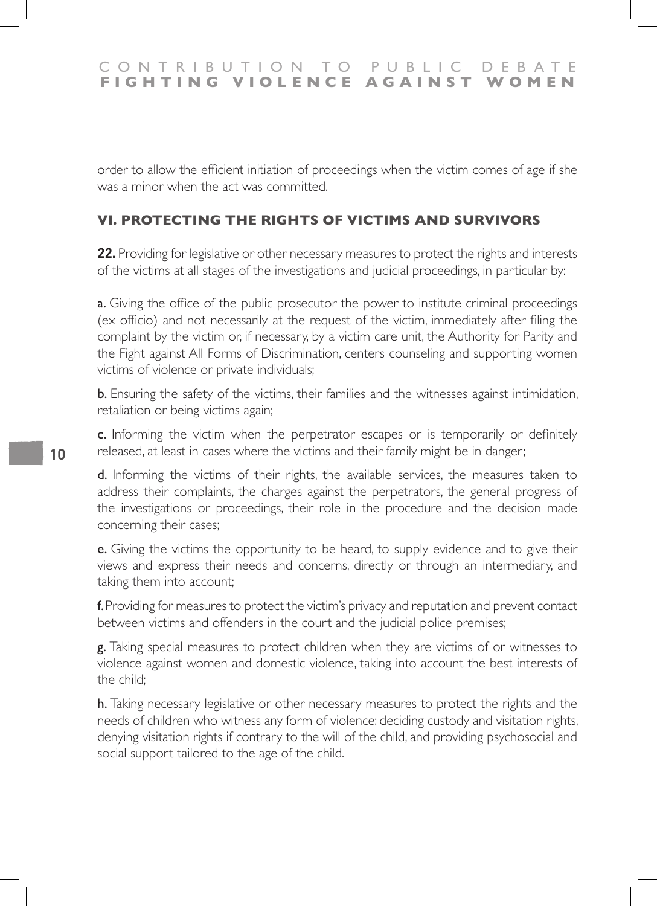order to allow the efficient initiation of proceedings when the victim comes of age if she was a minor when the act was committed.

### **VI. PROTECTING THE RIGHTS OF VICTIMS AND SURVIVORS**

22. Providing for legislative or other necessary measures to protect the rights and interests of the victims at all stages of the investigations and judicial proceedings, in particular by:

**a.** Giving the office of the public prosecutor the power to institute criminal proceedings (ex officio) and not necessarily at the request of the victim, immediately after filing the complaint by the victim or, if necessary, by a victim care unit, the Authority for Parity and the Fight against All Forms of Discrimination, centers counseling and supporting women victims of violence or private individuals;

b. Ensuring the safety of the victims, their families and the witnesses against intimidation, retaliation or being victims again;

c. Informing the victim when the perpetrator escapes or is temporarily or definitely released, at least in cases where the victims and their family might be in danger;

d. Informing the victims of their rights, the available services, the measures taken to address their complaints, the charges against the perpetrators, the general progress of the investigations or proceedings, their role in the procedure and the decision made concerning their cases;

e. Giving the victims the opportunity to be heard, to supply evidence and to give their views and express their needs and concerns, directly or through an intermediary, and taking them into account;

f. Providing for measures to protect the victim's privacy and reputation and prevent contact between victims and offenders in the court and the judicial police premises;

g. Taking special measures to protect children when they are victims of or witnesses to violence against women and domestic violence, taking into account the best interests of the child;

h. Taking necessary legislative or other necessary measures to protect the rights and the needs of children who witness any form of violence: deciding custody and visitation rights, denying visitation rights if contrary to the will of the child, and providing psychosocial and social support tailored to the age of the child.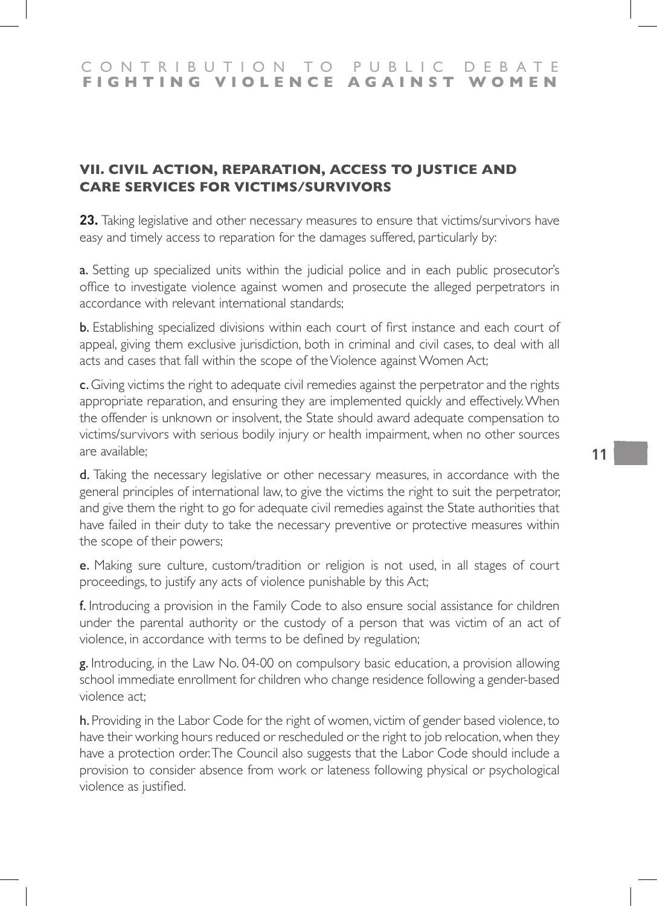# **VII. CIVIL ACTION, REPARATION, ACCESS TO JUSTICE AND CARE SERVICES FOR VICTIMS/SURVIVORS**

**23.** Taking legislative and other necessary measures to ensure that victims/survivors have easy and timely access to reparation for the damages suffered, particularly by:

a. Setting up specialized units within the judicial police and in each public prosecutor's office to investigate violence against women and prosecute the alleged perpetrators in accordance with relevant international standards;

b. Establishing specialized divisions within each court of first instance and each court of appeal, giving them exclusive jurisdiction, both in criminal and civil cases, to deal with all acts and cases that fall within the scope of the Violence against Women Act;

c. Giving victims the right to adequate civil remedies against the perpetrator and the rights appropriate reparation, and ensuring they are implemented quickly and effectively. When the offender is unknown or insolvent, the State should award adequate compensation to victims/survivors with serious bodily injury or health impairment, when no other sources are available;

d. Taking the necessary legislative or other necessary measures, in accordance with the general principles of international law, to give the victims the right to suit the perpetrator, and give them the right to go for adequate civil remedies against the State authorities that have failed in their duty to take the necessary preventive or protective measures within the scope of their powers;

e. Making sure culture, custom/tradition or religion is not used, in all stages of court proceedings, to justify any acts of violence punishable by this Act;

f. Introducing a provision in the Family Code to also ensure social assistance for children under the parental authority or the custody of a person that was victim of an act of violence, in accordance with terms to be defined by regulation;

g. Introducing, in the Law No. 04-00 on compulsory basic education, a provision allowing school immediate enrollment for children who change residence following a gender-based violence act;

h. Providing in the Labor Code for the right of women, victim of gender based violence, to have their working hours reduced or rescheduled or the right to job relocation, when they have a protection order. The Council also suggests that the Labor Code should include a provision to consider absence from work or lateness following physical or psychological violence as justified.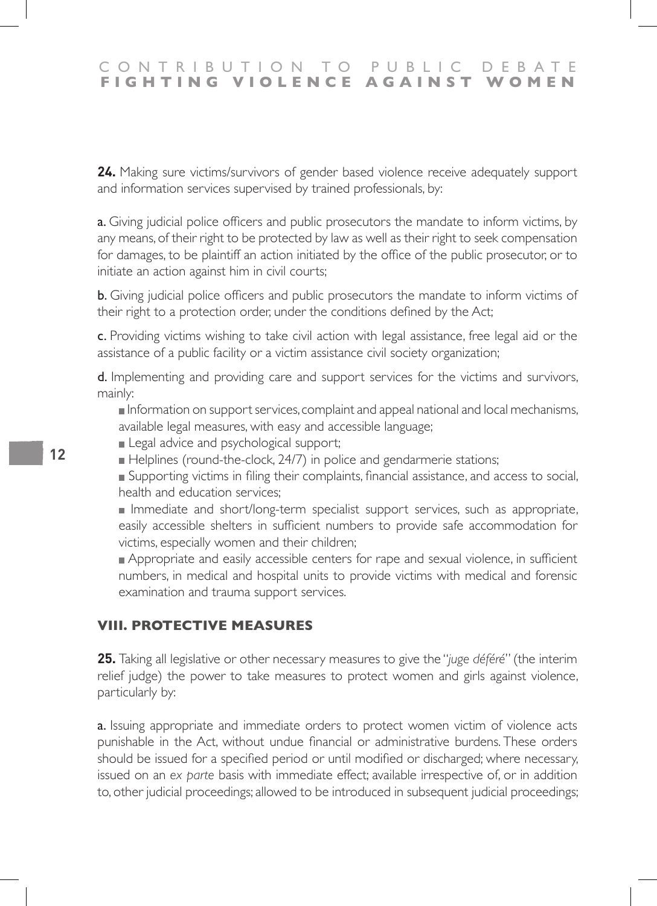**24.** Making sure victims/survivors of gender based violence receive adequately support and information services supervised by trained professionals, by:

**a.** Giving judicial police officers and public prosecutors the mandate to inform victims, by any means, of their right to be protected by law as well as their right to seek compensation for damages, to be plaintiff an action initiated by the office of the public prosecutor, or to initiate an action against him in civil courts;

b. Giving judicial police officers and public prosecutors the mandate to inform victims of their right to a protection order, under the conditions defined by the Act;

c. Providing victims wishing to take civil action with legal assistance, free legal aid or the assistance of a public facility or a victim assistance civil society organization;

d. Implementing and providing care and support services for the victims and survivors, mainly:

Information on support services, complaint and appeal national and local mechanisms, available legal measures, with easy and accessible language;

**Legal advice and psychological support;** 

Helplines (round-the-clock, 24/7) in police and gendarmerie stations;

Supporting victims in filing their complaints, financial assistance, and access to social, health and education services;

Immediate and short/long-term specialist support services, such as appropriate, easily accessible shelters in sufficient numbers to provide safe accommodation for victims, especially women and their children;

**Appropriate and easily accessible centers for rape and sexual violence, in sufficient** numbers, in medical and hospital units to provide victims with medical and forensic examination and trauma support services.

#### **VIII. PROTECTIVE MEASURES**

**25.** Taking all legislative or other necessary measures to give the "*juge déféré*" (the interim relief judge) the power to take measures to protect women and girls against violence, particularly by:

a. Issuing appropriate and immediate orders to protect women victim of violence acts punishable in the Act, without undue financial or administrative burdens. These orders should be issued for a specified period or until modified or discharged; where necessary, issued on an *ex parte* basis with immediate effect; available irrespective of, or in addition to, other judicial proceedings; allowed to be introduced in subsequent judicial proceedings;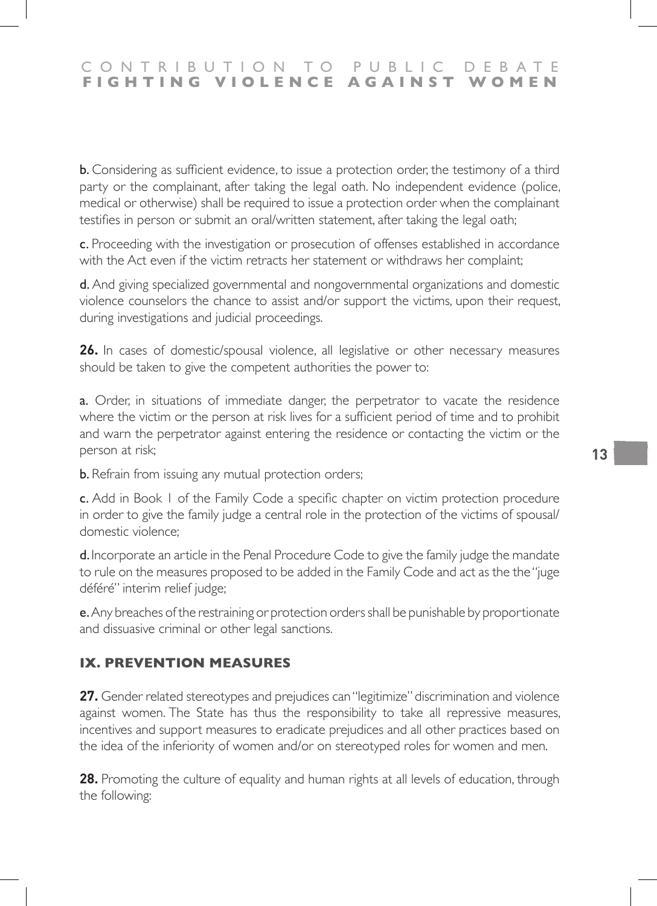b. Considering as sufficient evidence, to issue a protection order, the testimony of a third party or the complainant, after taking the legal oath. No independent evidence (police, medical or otherwise) shall be required to issue a protection order when the complainant testifies in person or submit an oral/written statement, after taking the legal oath;

c. Proceeding with the investigation or prosecution of offenses established in accordance with the Act even if the victim retracts her statement or withdraws her complaint;

d. And giving specialized governmental and nongovernmental organizations and domestic violence counselors the chance to assist and/or support the victims, upon their request, during investigations and judicial proceedings.

**26.** In cases of domestic/spousal violence, all legislative or other necessary measures should be taken to give the competent authorities the power to:

a. Order, in situations of immediate danger, the perpetrator to vacate the residence where the victim or the person at risk lives for a sufficient period of time and to prohibit and warn the perpetrator against entering the residence or contacting the victim or the person at risk;

**b.** Refrain from issuing any mutual protection orders;

c. Add in Book 1 of the Family Code a specific chapter on victim protection procedure in order to give the family judge a central role in the protection of the victims of spousal/ domestic violence;

d. Incorporate an article in the Penal Procedure Code to give the family judge the mandate to rule on the measures proposed to be added in the Family Code and act as the the "juge déféré" interim relief judge;

e. Any breaches of the restraining or protection orders shall be punishable by proportionate and dissuasive criminal or other legal sanctions.

# **IX. PREVENTION MEASURES**

**27.** Gender related stereotypes and prejudices can "legitimize" discrimination and violence against women. The State has thus the responsibility to take all repressive measures, incentives and support measures to eradicate prejudices and all other practices based on the idea of the inferiority of women and/or on stereotyped roles for women and men.

**28.** Promoting the culture of equality and human rights at all levels of education, through the following: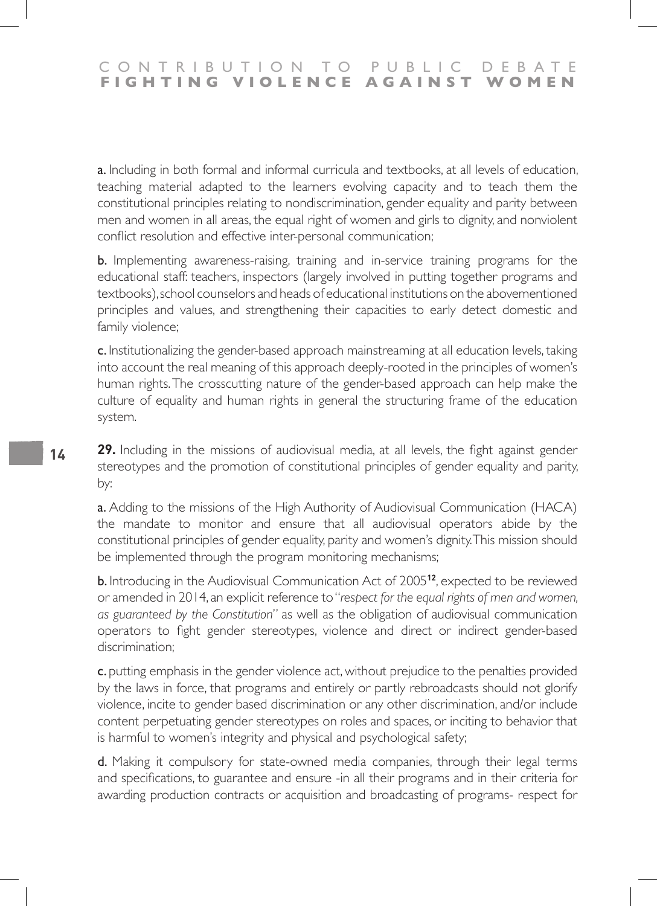a. Including in both formal and informal curricula and textbooks, at all levels of education, teaching material adapted to the learners evolving capacity and to teach them the constitutional principles relating to nondiscrimination, gender equality and parity between men and women in all areas, the equal right of women and girls to dignity, and nonviolent conflict resolution and effective inter-personal communication;

b. Implementing awareness-raising, training and in-service training programs for the educational staff: teachers, inspectors (largely involved in putting together programs and textbooks), school counselors and heads of educational institutions on the abovementioned principles and values, and strengthening their capacities to early detect domestic and family violence;

c. Institutionalizing the gender-based approach mainstreaming at all education levels, taking into account the real meaning of this approach deeply-rooted in the principles of women's human rights. The crosscutting nature of the gender-based approach can help make the culture of equality and human rights in general the structuring frame of the education system.

**29.** Including in the missions of audiovisual media, at all levels, the fight against gender stereotypes and the promotion of constitutional principles of gender equality and parity, by:

a. Adding to the missions of the High Authority of Audiovisual Communication (HACA) the mandate to monitor and ensure that all audiovisual operators abide by the constitutional principles of gender equality, parity and women's dignity. This mission should be implemented through the program monitoring mechanisms;

b. Introducing in the Audiovisual Communication Act of 2005**<sup>12</sup>**, expected to be reviewed or amended in 2014, an explicit reference to "*respect for the equal rights of men and women, as guaranteed by the Constitution*" as well as the obligation of audiovisual communication operators to fight gender stereotypes, violence and direct or indirect gender-based discrimination;

c. putting emphasis in the gender violence act, without prejudice to the penalties provided by the laws in force, that programs and entirely or partly rebroadcasts should not glorify violence, incite to gender based discrimination or any other discrimination, and/or include content perpetuating gender stereotypes on roles and spaces, or inciting to behavior that is harmful to women's integrity and physical and psychological safety;

d. Making it compulsory for state-owned media companies, through their legal terms and specifications, to guarantee and ensure -in all their programs and in their criteria for awarding production contracts or acquisition and broadcasting of programs- respect for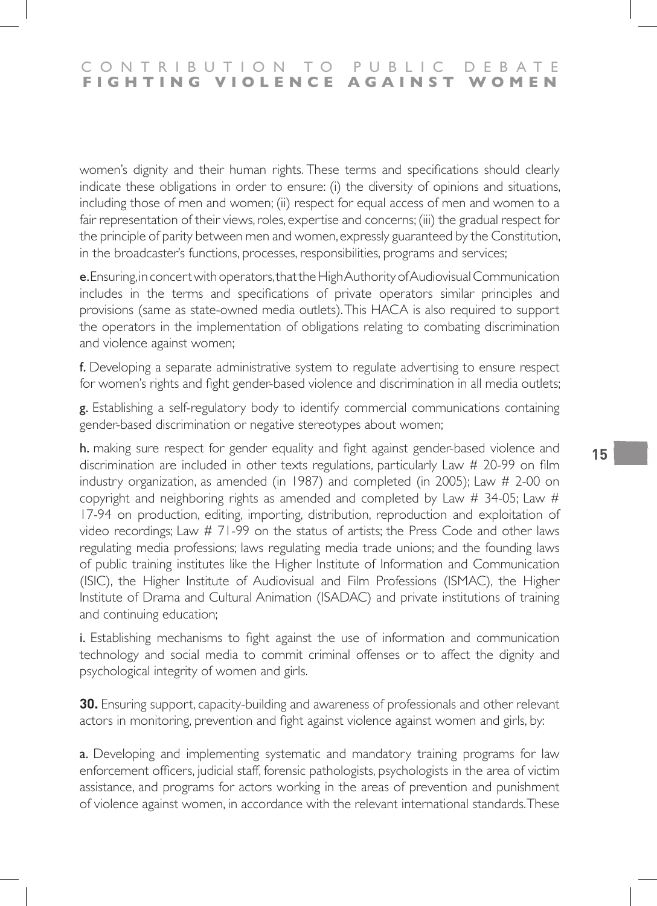women's dignity and their human rights. These terms and specifications should clearly indicate these obligations in order to ensure: (i) the diversity of opinions and situations, including those of men and women; (ii) respect for equal access of men and women to a fair representation of their views, roles, expertise and concerns; (iii) the gradual respect for the principle of parity between men and women, expressly guaranteed by the Constitution, in the broadcaster's functions, processes, responsibilities, programs and services;

e. Ensuring, in concert with operators, that the High Authority of Audiovisual Communication includes in the terms and specifications of private operators similar principles and provisions (same as state-owned media outlets). This HACA is also required to support the operators in the implementation of obligations relating to combating discrimination and violence against women;

f. Developing a separate administrative system to regulate advertising to ensure respect for women's rights and fight gender-based violence and discrimination in all media outlets;

g. Establishing a self-regulatory body to identify commercial communications containing gender-based discrimination or negative stereotypes about women;

h. making sure respect for gender equality and fight against gender-based violence and discrimination are included in other texts regulations, particularly Law # 20-99 on film industry organization, as amended (in 1987) and completed (in 2005); Law # 2-00 on copyright and neighboring rights as amended and completed by Law # 34-05; Law # 17-94 on production, editing, importing, distribution, reproduction and exploitation of video recordings; Law  $# 71-99$  on the status of artists; the Press Code and other laws regulating media professions; laws regulating media trade unions; and the founding laws of public training institutes like the Higher Institute of Information and Communication (ISIC), the Higher Institute of Audiovisual and Film Professions (ISMAC), the Higher Institute of Drama and Cultural Animation (ISADAC) and private institutions of training and continuing education;

i. Establishing mechanisms to fight against the use of information and communication technology and social media to commit criminal offenses or to affect the dignity and psychological integrity of women and girls.

**30.** Ensuring support, capacity-building and awareness of professionals and other relevant actors in monitoring, prevention and fight against violence against women and girls, by:

a. Developing and implementing systematic and mandatory training programs for law enforcement officers, judicial staff, forensic pathologists, psychologists in the area of victim assistance, and programs for actors working in the areas of prevention and punishment of violence against women, in accordance with the relevant international standards. These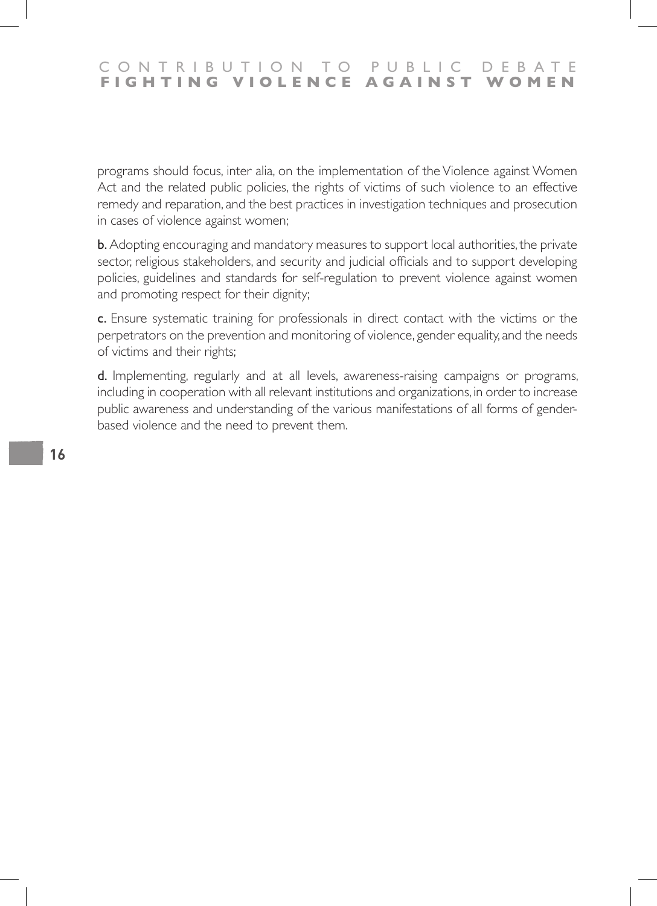### CONTRIBUTION TO PUBLIC DEBATE<br>FIGHTING VIOLENCE AGAINST WOMEN **FIGHTING VIOLENCE AGAINST WOMEN**

programs should focus, inter alia, on the implementation of the Violence against Women Act and the related public policies, the rights of victims of such violence to an effective remedy and reparation, and the best practices in investigation techniques and prosecution in cases of violence against women;

b. Adopting encouraging and mandatory measures to support local authorities, the private sector, religious stakeholders, and security and judicial officials and to support developing policies, guidelines and standards for self-regulation to prevent violence against women and promoting respect for their dignity;

c. Ensure systematic training for professionals in direct contact with the victims or the perpetrators on the prevention and monitoring of violence, gender equality, and the needs of victims and their rights;

d. Implementing, regularly and at all levels, awareness-raising campaigns or programs, including in cooperation with all relevant institutions and organizations, in order to increase public awareness and understanding of the various manifestations of all forms of genderbased violence and the need to prevent them.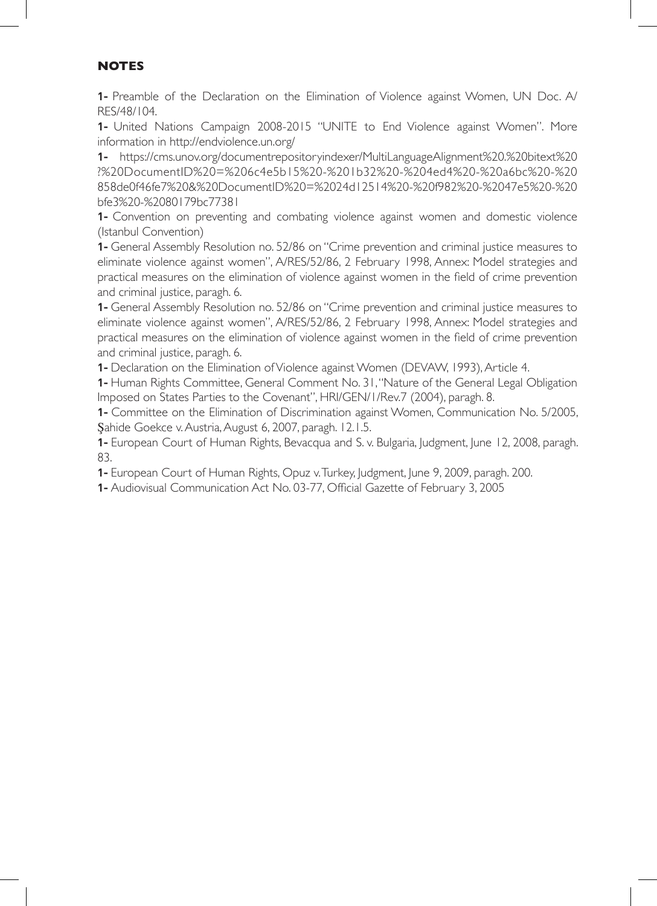### **NOTES**

**1-** Preamble of the Declaration on the Elimination of Violence against Women, UN Doc. A/ RES/48/104.

**1-** United Nations Campaign 2008-2015 "UNITE to End Violence against Women". More information in http://endviolence.un.org/

**1-** https://cms.unov.org/documentrepositoryindexer/MultiLanguageAlignment%20.%20bitext%20 ?%20DocumentID%20=%206c4e5b15%20-%201b32%20-%204ed4%20-%20a6bc%20-%20 858de0f46fe7%20&%20DocumentID%20=%2024d12514%20-%20f982%20-%2047e5%20-%20 bfe3%20-%2080179bc77381

**1-** Convention on preventing and combating violence against women and domestic violence (Istanbul Convention)

**1-** General Assembly Resolution no. 52/86 on "Crime prevention and criminal justice measures to eliminate violence against women", A/RES/52/86, 2 February 1998, Annex: Model strategies and practical measures on the elimination of violence against women in the field of crime prevention and criminal justice, paragh. 6.

**1-** General Assembly Resolution no. 52/86 on "Crime prevention and criminal justice measures to eliminate violence against women", A/RES/52/86, 2 February 1998, Annex: Model strategies and practical measures on the elimination of violence against women in the field of crime prevention and criminal justice, paragh. 6.

**1-** Declaration on the Elimination of Violence against Women (DEVAW, 1993), Article 4.

**1-** Human Rights Committee, General Comment No. 31, "Nature of the General Legal Obligation Imposed on States Parties to the Covenant", HRI/GEN/1/Rev.7 (2004), paragh. 8.

**1-** Committee on the Elimination of Discrimination against Women, Communication No. 5/2005, Şahide Goekce v. Austria, August 6, 2007, paragh. 12.1.5.

**1-** European Court of Human Rights, Bevacqua and S. v. Bulgaria, Judgment, June 12, 2008, paragh. 83.

**1-** European Court of Human Rights, Opuz v. Turkey, Judgment, June 9, 2009, paragh. 200.

**1-** Audiovisual Communication Act No. 03-77, Official Gazette of February 3, 2005